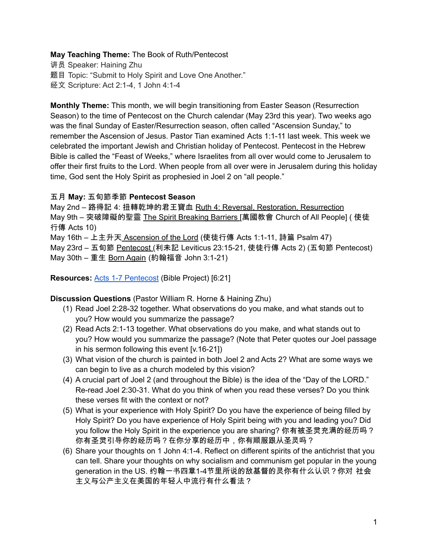## **May Teaching Theme:** The Book of Ruth/Pentecost

讲员 Speaker: Haining Zhu 题目 Topic: "Submit to Holy Spirit and Love One Another." 经文 Scripture: Act 2:1-4, 1 John 4:1-4

**Monthly Theme:** This month, we will begin transitioning from Easter Season (Resurrection Season) to the time of Pentecost on the Church calendar (May 23rd this year). Two weeks ago was the final Sunday of Easter/Resurrection season, often called "Ascension Sunday," to remember the Ascension of Jesus. Pastor Tian examined Acts 1:1-11 last week. This week we celebrated the important Jewish and Christian holiday of Pentecost. Pentecost in the Hebrew Bible is called the "Feast of Weeks," where Israelites from all over would come to Jerusalem to offer their first fruits to the Lord. When people from all over were in Jerusalem during this holiday time, God sent the Holy Spirit as prophesied in Joel 2 on "all people."

### 五月 **May:** 五旬節季節 **Pentecost Season**

May 2nd – 路得記 4: 扭轉乾坤的君王寶血 Ruth 4: Reversal, Restoration, Resurrection May 9th – 突破障礙的聖靈 The Spirit Breaking Barriers [萬國教會 Church of All People] ( 使徒 行傳 Acts 10) May 16th – 上主升天 Ascension of the Lord (使徒行傳 Acts 1:1-11, 詩篇 Psalm 47)

May 23rd – 五旬節 Pentecost (利未記 Leviticus 23:15-21, 使徒行傳 Acts 2) (五旬節 Pentecost) May 30th – 重生 Born Again (約翰福音 John 3:1-21)

**Resources:** Acts 1-7 [Pentecost](https://bibleproject.com/explore/video/gospel-acts-1/) (Bible Project) [6:21]

**Discussion Questions** (Pastor William R. Horne & Haining Zhu)

- (1) Read Joel 2:28-32 together. What observations do you make, and what stands out to you? How would you summarize the passage?
- (2) Read Acts 2:1-13 together. What observations do you make, and what stands out to you? How would you summarize the passage? (Note that Peter quotes our Joel passage in his sermon following this event [v.16-21])
- (3) What vision of the church is painted in both Joel 2 and Acts 2? What are some ways we can begin to live as a church modeled by this vision?
- (4) A crucial part of Joel 2 (and throughout the Bible) is the idea of the "Day of the LORD." Re-read Joel 2:30-31. What do you think of when you read these verses? Do you think these verses fit with the context or not?
- (5) What is your experience with Holy Spirit? Do you have the experience of being filled by Holy Spirit? Do you have experience of Holy Spirit being with you and leading you? Did you follow the Holy Spirit in the experience you are sharing? 你有被圣灵充满的经历吗? 你有圣灵引导你的经历吗?在你分享的经历中,你有顺服跟从圣灵吗?
- (6) Share your thoughts on 1 John 4:1-4. Reflect on different spirits of the antichrist that you can tell. Share your thoughts on why socialism and communism get popular in the young generation in the US. 约翰一书四章1-4节里所说的敌基督的灵你有什么认识?你对 社会 主义与公产主义在美国的年轻人中流行有什么看法?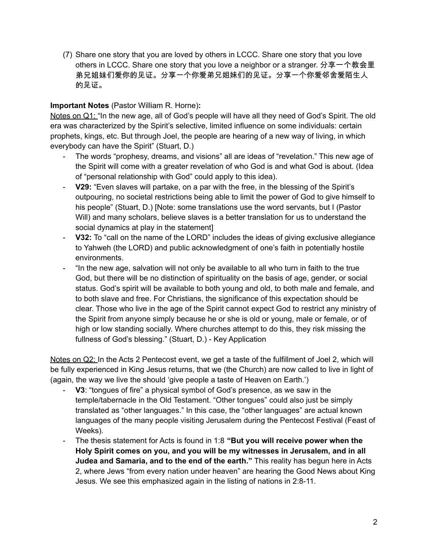(7) Share one story that you are loved by others in LCCC. Share one story that you love others in LCCC. Share one story that you love a neighbor or a stranger. 分享一个教会里 弟兄姐妹们爱你的见证。分享一个你爱弟兄姐妹们的见证。分享一个你爱邻舍爱陌生人 的见证。

# **Important Notes** (Pastor William R. Horne)**:**

Notes on Q1: "In the new age, all of God's people will have all they need of God's Spirit. The old era was characterized by the Spirit's selective, limited influence on some individuals: certain prophets, kings, etc. But through Joel, the people are hearing of a new way of living, in which everybody can have the Spirit" (Stuart, D.)

- The words "prophesy, dreams, and visions" all are ideas of "revelation." This new age of the Spirit will come with a greater revelation of who God is and what God is about. (Idea of "personal relationship with God" could apply to this idea).
- **V29:** "Even slaves will partake, on a par with the free, in the blessing of the Spirit's outpouring, no societal restrictions being able to limit the power of God to give himself to his people" (Stuart, D.) [Note: some translations use the word servants, but I (Pastor Will) and many scholars, believe slaves is a better translation for us to understand the social dynamics at play in the statement]
- **V32:** To "call on the name of the LORD" includes the ideas of giving exclusive allegiance to Yahweh (the LORD) and public acknowledgment of one's faith in potentially hostile environments.
- "In the new age, salvation will not only be available to all who turn in faith to the true God, but there will be no distinction of spirituality on the basis of age, gender, or social status. God's spirit will be available to both young and old, to both male and female, and to both slave and free. For Christians, the significance of this expectation should be clear. Those who live in the age of the Spirit cannot expect God to restrict any ministry of the Spirit from anyone simply because he or she is old or young, male or female, or of high or low standing socially. Where churches attempt to do this, they risk missing the fullness of God's blessing." (Stuart, D.) - Key Application

Notes on Q2: In the Acts 2 Pentecost event, we get a taste of the fulfillment of Joel 2, which will be fully experienced in King Jesus returns, that we (the Church) are now called to live in light of (again, the way we live the should 'give people a taste of Heaven on Earth.')

- **V3**: "tongues of fire" a physical symbol of God's presence, as we saw in the temple/tabernacle in the Old Testament. "Other tongues" could also just be simply translated as "other languages." In this case, the "other languages" are actual known languages of the many people visiting Jerusalem during the Pentecost Festival (Feast of Weeks).
- The thesis statement for Acts is found in 1:8 **"But you will receive power when the Holy Spirit comes on you, and you will be my witnesses in Jerusalem, and in all Judea and Samaria, and to the end of the earth."** This reality has begun here in Acts 2, where Jews "from every nation under heaven" are hearing the Good News about King Jesus. We see this emphasized again in the listing of nations in 2:8-11.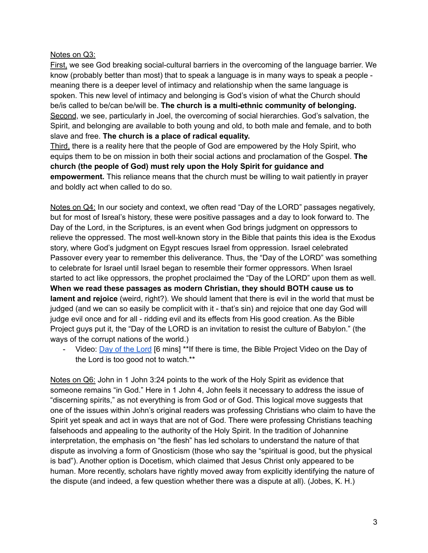## Notes on Q3:

First, we see God breaking social-cultural barriers in the overcoming of the language barrier. We know (probably better than most) that to speak a language is in many ways to speak a people meaning there is a deeper level of intimacy and relationship when the same language is spoken. This new level of intimacy and belonging is God's vision of what the Church should be/is called to be/can be/will be. **The church is a multi-ethnic community of belonging.** Second, we see, particularly in Joel, the overcoming of social hierarchies. God's salvation, the Spirit, and belonging are available to both young and old, to both male and female, and to both slave and free. **The church is a place of radical equality.**

Third, there is a reality here that the people of God are empowered by the Holy Spirit, who equips them to be on mission in both their social actions and proclamation of the Gospel. **The church (the people of God) must rely upon the Holy Spirit for guidance and empowerment.** This reliance means that the church must be willing to wait patiently in prayer and boldly act when called to do so.

Notes on Q4: In our society and context, we often read "Day of the LORD" passages negatively, but for most of Isreal's history, these were positive passages and a day to look forward to. The Day of the Lord, in the Scriptures, is an event when God brings judgment on oppressors to relieve the oppressed. The most well-known story in the Bible that paints this idea is the Exodus story, where God's judgment on Egypt rescues Israel from oppression. Israel celebrated Passover every year to remember this deliverance. Thus, the "Day of the LORD" was something to celebrate for Israel until Israel began to resemble their former oppressors. When Israel started to act like oppressors, the prophet proclaimed the "Day of the LORD" upon them as well. **When we read these passages as modern Christian, they should BOTH cause us to lament and rejoice** (weird, right?). We should lament that there is evil in the world that must be judged (and we can so easily be complicit with it - that's sin) and rejoice that one day God will judge evil once and for all - ridding evil and its effects from His good creation. As the Bible Project guys put it, the "Day of the LORD is an invitation to resist the culture of Babylon." (the ways of the corrupt nations of the world.)

Video: Day of the [Lord](https://bibleproject.com/explore/video/day-of-the-lord/) [6 mins] \*\*If there is time, the Bible Project Video on the Day of the Lord is too good not to watch.\*\*

Notes on Q6: John in 1 John 3:24 points to the work of the Holy Spirit as evidence that someone remains "in God." Here in 1 John 4, John feels it necessary to address the issue of "discerning spirits," as not everything is from God or of God. This logical move suggests that one of the issues within John's original readers was professing Christians who claim to have the Spirit yet speak and act in ways that are not of God. There were professing Christians teaching falsehoods and appealing to the authority of the Holy Spirit. In the tradition of Johannine interpretation, the emphasis on "the flesh" has led scholars to understand the nature of that dispute as involving a form of Gnosticism (those who say the "spiritual is good, but the physical is bad"). Another option is Docetism, which claimed that Jesus Christ only appeared to be human. More recently, scholars have rightly moved away from explicitly identifying the nature of the dispute (and indeed, a few question whether there was a dispute at all). (Jobes, K. H.)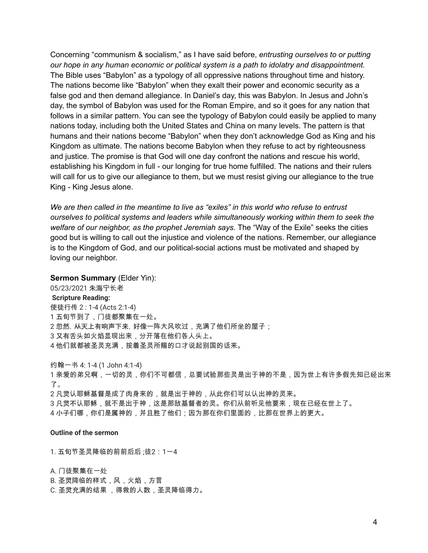Concerning "communism & socialism," as I have said before, *entrusting ourselves to or putting our hope in any human economic or political system is a path to idolatry and disappointment.* The Bible uses "Babylon" as a typology of all oppressive nations throughout time and history. The nations become like "Babylon" when they exalt their power and economic security as a false god and then demand allegiance. In Daniel's day, this was Babylon. In Jesus and John's day, the symbol of Babylon was used for the Roman Empire, and so it goes for any nation that follows in a similar pattern. You can see the typology of Babylon could easily be applied to many nations today, including both the United States and China on many levels. The pattern is that humans and their nations become "Babylon" when they don't acknowledge God as King and his Kingdom as ultimate. The nations become Babylon when they refuse to act by righteousness and justice. The promise is that God will one day confront the nations and rescue his world, establishing his Kingdom in full - our longing for true home fulfilled. The nations and their rulers will call for us to give our allegiance to them, but we must resist giving our allegiance to the true King - King Jesus alone.

*We are then called in the meantime to live as "exiles" in this world who refuse to entrust ourselves to political systems and leaders while simultaneously working within them to seek the welfare of our neighbor, as the prophet Jeremiah says.* The "Way of the Exile" seeks the cities good but is willing to call out the injustice and violence of the nations. Remember, our allegiance is to the Kingdom of God, and our political-social actions must be motivated and shaped by loving our neighbor.

#### **Sermon Summary** (Elder Yin):

05/23/2021 朱海宁长老 **Scripture Reading:** 使徒行传 2 : 1-4 (Acts 2:1-4) 1 五旬节到了,门徒都聚集在一处。 2 忽然,从天上有响声下来,好像一阵大风吹过,充满了他们所坐的屋子; 3 又有舌头如火焰显现出来,分开落在他们各人头上。 4 他们就都被圣灵充满,按着圣灵所赐的口才说起别国的话来。

约翰一书 4: 1-4 (1 John 4:1-4) 亲爱的弟兄啊,一切的灵,你们不可都信,总要试验那些灵是出于神的不是,因为世上有许多假先知已经出来 了。 凡灵认耶稣基督是成了肉身来的,就是出于神的,从此你们可以认出神的灵来。 凡灵不认耶稣,就不是出于神,这是那敌基督者的灵。你们从前听见他要来,现在已经在世上了。 小子们哪,你们是属神的,并且胜了他们;因为那在你们里面的,比那在世界上的更大。

#### **Outline of the sermon**

1. 五旬节圣灵降临的前前后后 ;徒2:1一4

A. 门徒聚集在一处 B. 圣灵降临的样式,风,火焰,方言 C. 圣灵充满的结果 ,得救的人数,圣灵降临得力。